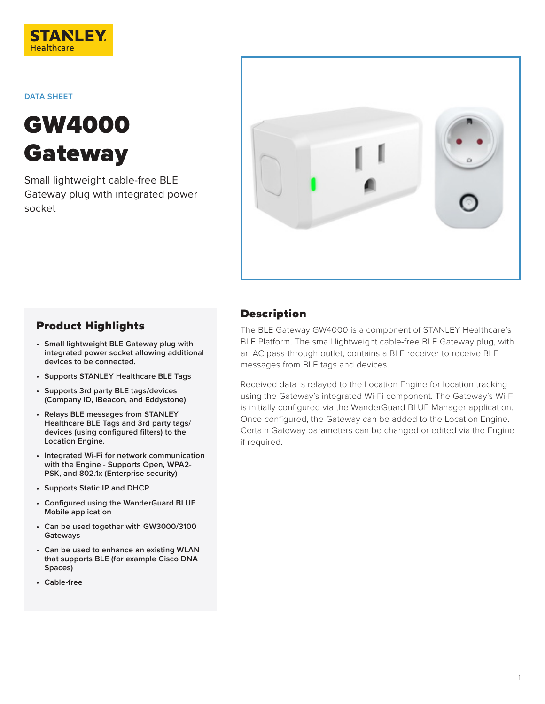

**DATA SHEET**

# GW4000 **Gateway**

Small lightweight cable-free BLE Gateway plug with integrated power socket



### Product Highlights

- **• Small lightweight BLE Gateway plug with integrated power socket allowing additional devices to be connected.**
- **• Supports STANLEY Healthcare BLE Tags**
- **• Supports 3rd party BLE tags/devices (Company ID, iBeacon, and Eddystone)**
- **• Relays BLE messages from STANLEY Healthcare BLE Tags and 3rd party tags/ devices (using configured filters) to the Location Engine.**
- **• Integrated Wi-Fi for network communication with the Engine - Supports Open, WPA2- PSK, and 802.1x (Enterprise security)**
- **• Supports Static IP and DHCP**
- **• Configured using the WanderGuard BLUE Mobile application**
- **• Can be used together with GW3000/3100 Gateways**
- **• Can be used to enhance an existing WLAN that supports BLE (for example Cisco DNA Spaces)**
- **• Cable-free**

### Description

The BLE Gateway GW4000 is a component of STANLEY Healthcare's BLE Platform. The small lightweight cable-free BLE Gateway plug, with an AC pass-through outlet, contains a BLE receiver to receive BLE messages from BLE tags and devices.

Received data is relayed to the Location Engine for location tracking using the Gateway's integrated Wi-Fi component. The Gateway's Wi-Fi is initially configured via the WanderGuard BLUE Manager application. Once configured, the Gateway can be added to the Location Engine. Certain Gateway parameters can be changed or edited via the Engine if required.